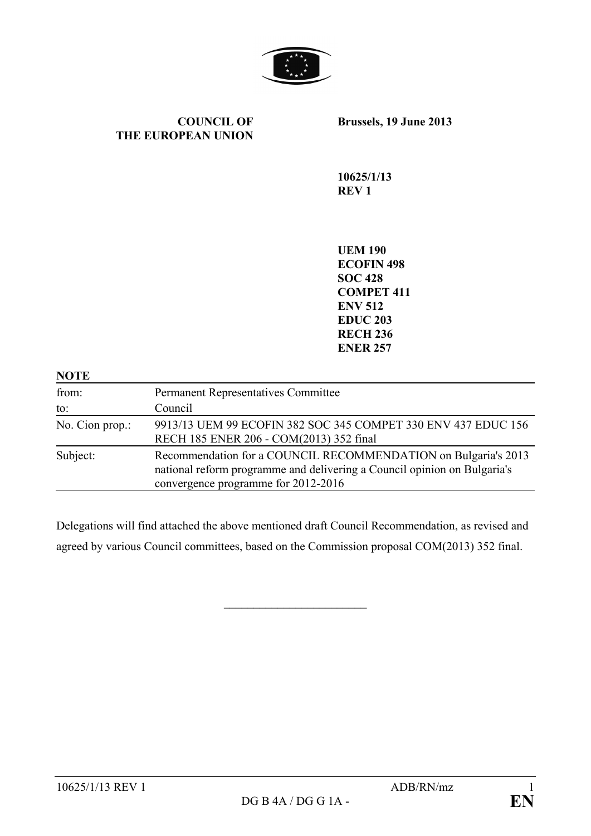

#### **COUNCIL OF THE EUROPEAN UNION**

**Brussels, 19 June 2013**

**10625/1/13 REV 1**

**UEM 190 ECOFIN 498 SOC 428 COMPET 411 ENV 512 EDUC 203 RECH 236 ENER 257**

| <b>NOTE</b>     |                                                                                                                                                                                   |
|-----------------|-----------------------------------------------------------------------------------------------------------------------------------------------------------------------------------|
| from:           | <b>Permanent Representatives Committee</b>                                                                                                                                        |
| to:             | Council                                                                                                                                                                           |
| No. Cion prop.: | 9913/13 UEM 99 ECOFIN 382 SOC 345 COMPET 330 ENV 437 EDUC 156<br>RECH 185 ENER 206 - COM(2013) 352 final                                                                          |
| Subject:        | Recommendation for a COUNCIL RECOMMENDATION on Bulgaria's 2013<br>national reform programme and delivering a Council opinion on Bulgaria's<br>convergence programme for 2012-2016 |

Delegations will find attached the above mentioned draft Council Recommendation, as revised and agreed by various Council committees, based on the Commission proposal COM(2013) 352 final.

 $\overline{\phantom{a}}$  , which is a set of the set of the set of the set of the set of the set of the set of the set of the set of the set of the set of the set of the set of the set of the set of the set of the set of the set of th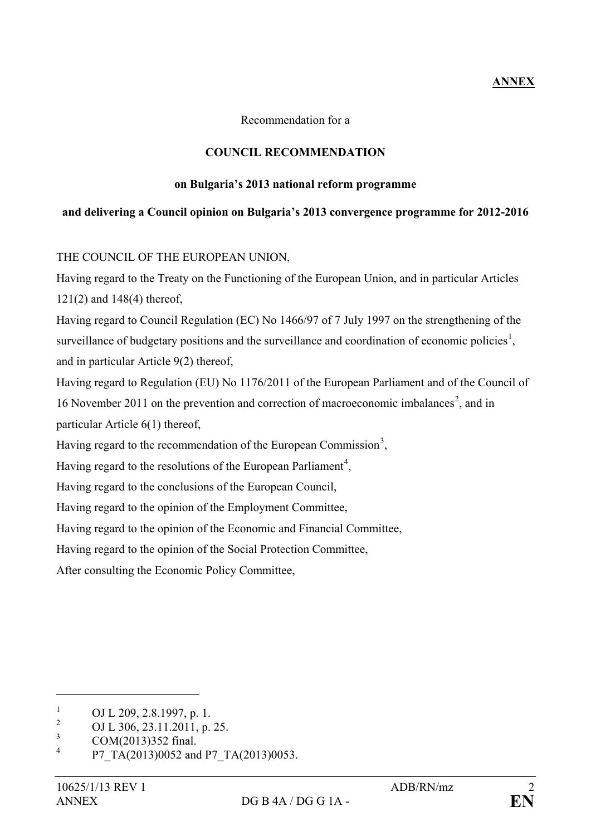# **ANNEX**

Recommendation for a

## **COUNCIL RECOMMENDATION**

### **on Bulgaria's 2013 national reform programme**

### **and delivering a Council opinion on Bulgaria's 2013 convergence programme for 2012-2016**

### THE COUNCIL OF THE EUROPEAN UNION,

Having regard to the Treaty on the Functioning of the European Union, and in particular Articles 121(2) and 148(4) thereof,

Having regard to Council Regulation (EC) No 1466/97 of 7 July 1997 on the strengthening of the surveillance of budgetary positions and the surveillance and coordination of economic policies<sup>[1](#page-1-0)</sup>, and in particular Article 9(2) thereof,

Having regard to Regulation (EU) No 1176/2011 of the European Parliament and of the Council of 16 November [2](#page-1-1)011 on the prevention and correction of macroeconomic imbalances<sup>2</sup>, and in particular Article 6(1) thereof,

Having regard to the recommendation of the European Commission<sup>[3](#page-1-2)</sup>,

Having regard to the resolutions of the European Parliament<sup>[4](#page-1-3)</sup>,

Having regard to the conclusions of the European Council,

Having regard to the opinion of the Employment Committee,

Having regard to the opinion of the Economic and Financial Committee,

Having regard to the opinion of the Social Protection Committee,

After consulting the Economic Policy Committee,

<span id="page-1-0"></span><sup>&</sup>lt;sup>1</sup> OJ L 209, 2.8.1997, p. 1.<br><sup>2</sup> OJ L 206, 22, 11, 2011, p.

<span id="page-1-1"></span><sup>&</sup>lt;sup>2</sup> OJ L 306, 23.11.2011, p. 25.

<span id="page-1-2"></span> $\frac{3}{4}$  COM(2013)352 final.

<span id="page-1-3"></span>P7\_TA(2013)0052 and P7\_TA(2013)0053.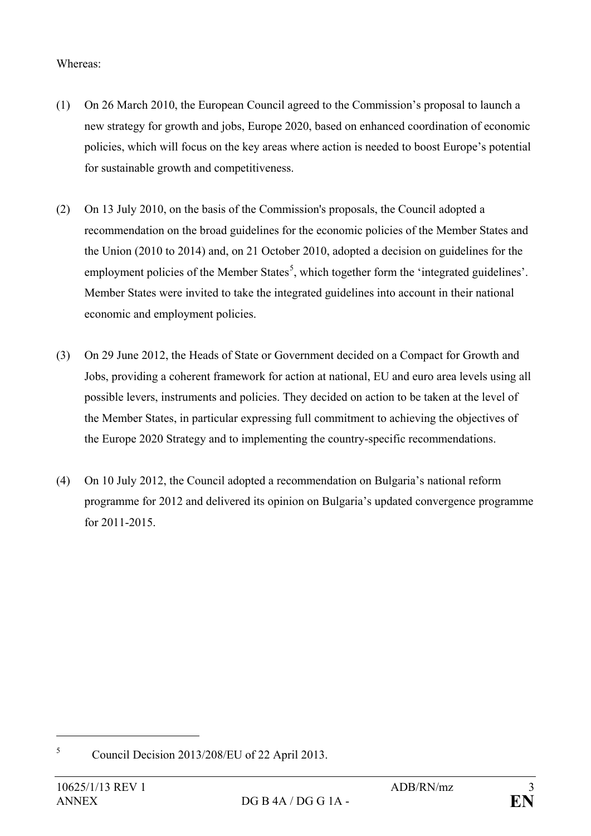## Whereas:

- (1) On 26 March 2010, the European Council agreed to the Commission's proposal to launch a new strategy for growth and jobs, Europe 2020, based on enhanced coordination of economic policies, which will focus on the key areas where action is needed to boost Europe's potential for sustainable growth and competitiveness.
- (2) On 13 July 2010, on the basis of the Commission's proposals, the Council adopted a recommendation on the broad guidelines for the economic policies of the Member States and the Union (2010 to 2014) and, on 21 October 2010, adopted a decision on guidelines for the employment policies of the Member States<sup>[5](#page-2-0)</sup>, which together form the 'integrated guidelines'. Member States were invited to take the integrated guidelines into account in their national economic and employment policies.
- (3) On 29 June 2012, the Heads of State or Government decided on a Compact for Growth and Jobs, providing a coherent framework for action at national, EU and euro area levels using all possible levers, instruments and policies. They decided on action to be taken at the level of the Member States, in particular expressing full commitment to achieving the objectives of the Europe 2020 Strategy and to implementing the country-specific recommendations.
- (4) On 10 July 2012, the Council adopted a recommendation on Bulgaria's national reform programme for 2012 and delivered its opinion on Bulgaria's updated convergence programme for 2011-2015.

<span id="page-2-0"></span><sup>5</sup> Council Decision 2013/208/EU of 22 April 2013.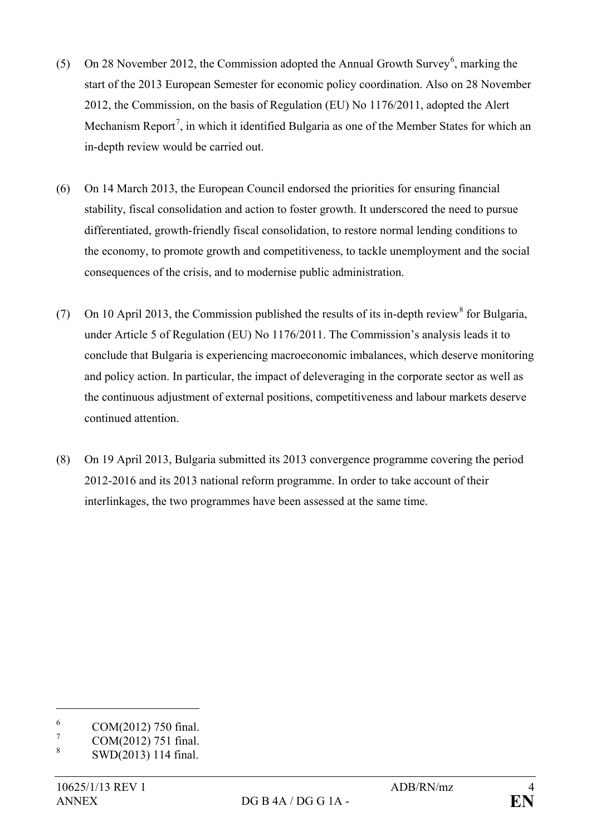- (5) On 28 November 2012, the Commission adopted the Annual Growth Survey<sup>[6](#page-3-0)</sup>, marking the start of the 2013 European Semester for economic policy coordination. Also on 28 November 2012, the Commission, on the basis of Regulation (EU) No 1176/2011, adopted the Alert Mechanism Report<sup>[7](#page-3-1)</sup>, in which it identified Bulgaria as one of the Member States for which an in-depth review would be carried out.
- (6) On 14 March 2013, the European Council endorsed the priorities for ensuring financial stability, fiscal consolidation and action to foster growth. It underscored the need to pursue differentiated, growth-friendly fiscal consolidation, to restore normal lending conditions to the economy, to promote growth and competitiveness, to tackle unemployment and the social consequences of the crisis, and to modernise public administration.
- (7) On 10 April 2013, the Commission published the results of its in-depth review<sup>[8](#page-3-2)</sup> for Bulgaria, under Article 5 of Regulation (EU) No 1176/2011. The Commission's analysis leads it to conclude that Bulgaria is experiencing macroeconomic imbalances, which deserve monitoring and policy action. In particular, the impact of deleveraging in the corporate sector as well as the continuous adjustment of external positions, competitiveness and labour markets deserve continued attention.
- (8) On 19 April 2013, Bulgaria submitted its 2013 convergence programme covering the period 2012-2016 and its 2013 national reform programme. In order to take account of their interlinkages, the two programmes have been assessed at the same time.

<span id="page-3-0"></span> $^{6}$  COM(2012) 750 final.

<span id="page-3-1"></span> $\frac{7}{8}$  COM(2012) 751 final.

<span id="page-3-2"></span><sup>8</sup> SWD(2013) 114 final.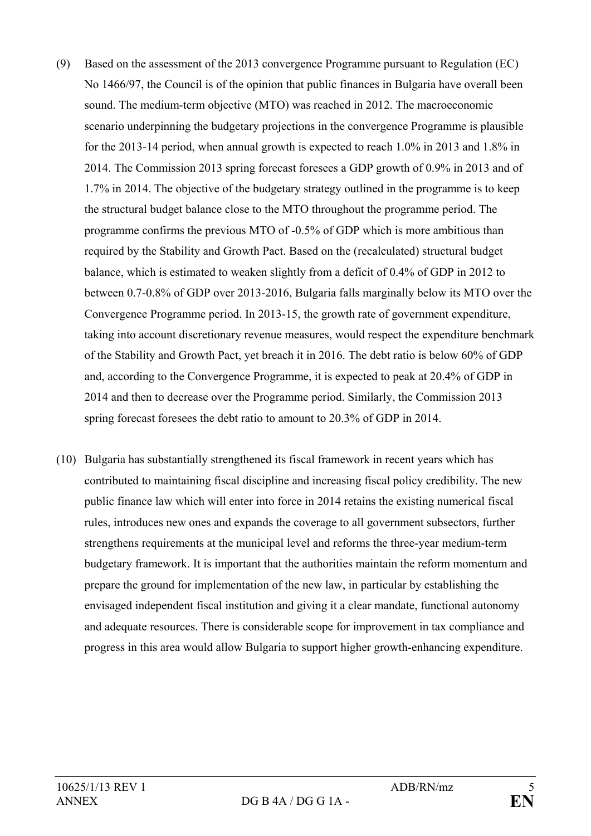- (9) Based on the assessment of the 2013 convergence Programme pursuant to Regulation (EC) No 1466/97, the Council is of the opinion that public finances in Bulgaria have overall been sound. The medium-term objective (MTO) was reached in 2012. The macroeconomic scenario underpinning the budgetary projections in the convergence Programme is plausible for the 2013-14 period, when annual growth is expected to reach 1.0% in 2013 and 1.8% in 2014. The Commission 2013 spring forecast foresees a GDP growth of 0.9% in 2013 and of 1.7% in 2014. The objective of the budgetary strategy outlined in the programme is to keep the structural budget balance close to the MTO throughout the programme period. The programme confirms the previous MTO of -0.5% of GDP which is more ambitious than required by the Stability and Growth Pact. Based on the (recalculated) structural budget balance, which is estimated to weaken slightly from a deficit of 0.4% of GDP in 2012 to between 0.7-0.8% of GDP over 2013-2016, Bulgaria falls marginally below its MTO over the Convergence Programme period. In 2013-15, the growth rate of government expenditure, taking into account discretionary revenue measures, would respect the expenditure benchmark of the Stability and Growth Pact, yet breach it in 2016. The debt ratio is below 60% of GDP and, according to the Convergence Programme, it is expected to peak at 20.4% of GDP in 2014 and then to decrease over the Programme period. Similarly, the Commission 2013 spring forecast foresees the debt ratio to amount to 20.3% of GDP in 2014.
- (10) Bulgaria has substantially strengthened its fiscal framework in recent years which has contributed to maintaining fiscal discipline and increasing fiscal policy credibility. The new public finance law which will enter into force in 2014 retains the existing numerical fiscal rules, introduces new ones and expands the coverage to all government subsectors, further strengthens requirements at the municipal level and reforms the three-year medium-term budgetary framework. It is important that the authorities maintain the reform momentum and prepare the ground for implementation of the new law, in particular by establishing the envisaged independent fiscal institution and giving it a clear mandate, functional autonomy and adequate resources. There is considerable scope for improvement in tax compliance and progress in this area would allow Bulgaria to support higher growth-enhancing expenditure.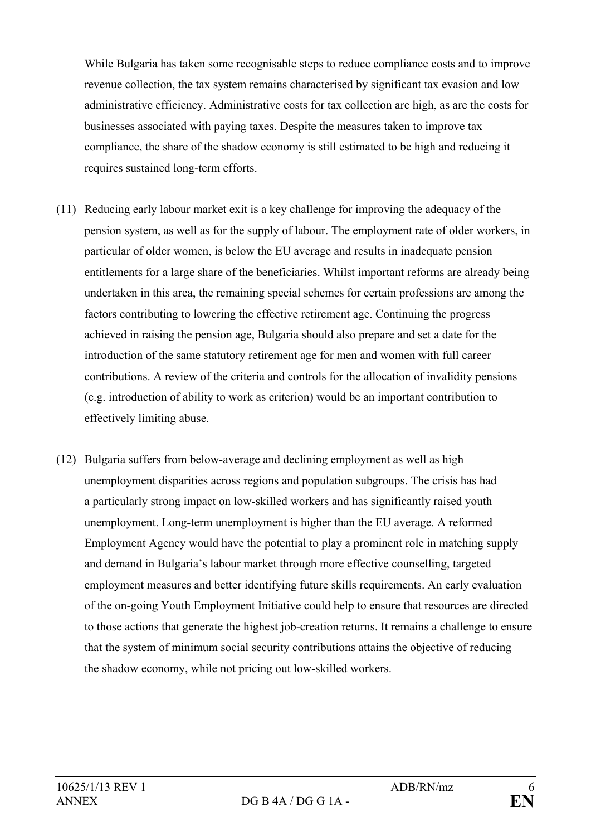While Bulgaria has taken some recognisable steps to reduce compliance costs and to improve revenue collection, the tax system remains characterised by significant tax evasion and low administrative efficiency. Administrative costs for tax collection are high, as are the costs for businesses associated with paying taxes. Despite the measures taken to improve tax compliance, the share of the shadow economy is still estimated to be high and reducing it requires sustained long-term efforts.

- (11) Reducing early labour market exit is a key challenge for improving the adequacy of the pension system, as well as for the supply of labour. The employment rate of older workers, in particular of older women, is below the EU average and results in inadequate pension entitlements for a large share of the beneficiaries. Whilst important reforms are already being undertaken in this area, the remaining special schemes for certain professions are among the factors contributing to lowering the effective retirement age. Continuing the progress achieved in raising the pension age, Bulgaria should also prepare and set a date for the introduction of the same statutory retirement age for men and women with full career contributions. A review of the criteria and controls for the allocation of invalidity pensions (e.g. introduction of ability to work as criterion) would be an important contribution to effectively limiting abuse.
- (12) Bulgaria suffers from below-average and declining employment as well as high unemployment disparities across regions and population subgroups. The crisis has had a particularly strong impact on low-skilled workers and has significantly raised youth unemployment. Long-term unemployment is higher than the EU average. A reformed Employment Agency would have the potential to play a prominent role in matching supply and demand in Bulgaria's labour market through more effective counselling, targeted employment measures and better identifying future skills requirements. An early evaluation of the on-going Youth Employment Initiative could help to ensure that resources are directed to those actions that generate the highest job-creation returns. It remains a challenge to ensure that the system of minimum social security contributions attains the objective of reducing the shadow economy, while not pricing out low-skilled workers.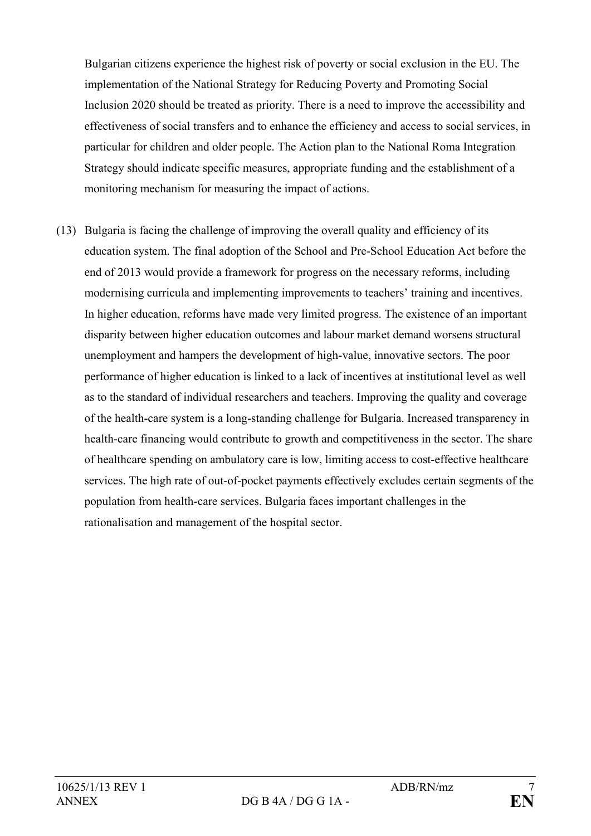Bulgarian citizens experience the highest risk of poverty or social exclusion in the EU. The implementation of the National Strategy for Reducing Poverty and Promoting Social Inclusion 2020 should be treated as priority. There is a need to improve the accessibility and effectiveness of social transfers and to enhance the efficiency and access to social services, in particular for children and older people. The Action plan to the National Roma Integration Strategy should indicate specific measures, appropriate funding and the establishment of a monitoring mechanism for measuring the impact of actions.

(13) Bulgaria is facing the challenge of improving the overall quality and efficiency of its education system. The final adoption of the School and Pre-School Education Act before the end of 2013 would provide a framework for progress on the necessary reforms, including modernising curricula and implementing improvements to teachers' training and incentives. In higher education, reforms have made very limited progress. The existence of an important disparity between higher education outcomes and labour market demand worsens structural unemployment and hampers the development of high-value, innovative sectors. The poor performance of higher education is linked to a lack of incentives at institutional level as well as to the standard of individual researchers and teachers. Improving the quality and coverage of the health-care system is a long-standing challenge for Bulgaria. Increased transparency in health-care financing would contribute to growth and competitiveness in the sector. The share of healthcare spending on ambulatory care is low, limiting access to cost-effective healthcare services. The high rate of out-of-pocket payments effectively excludes certain segments of the population from health-care services. Bulgaria faces important challenges in the rationalisation and management of the hospital sector.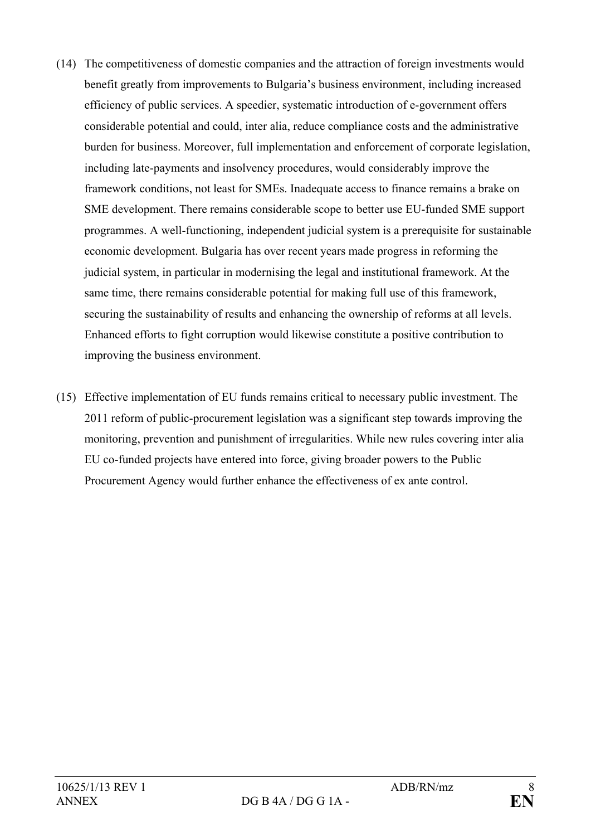- (14) The competitiveness of domestic companies and the attraction of foreign investments would benefit greatly from improvements to Bulgaria's business environment, including increased efficiency of public services. A speedier, systematic introduction of e-government offers considerable potential and could, inter alia, reduce compliance costs and the administrative burden for business. Moreover, full implementation and enforcement of corporate legislation, including late-payments and insolvency procedures, would considerably improve the framework conditions, not least for SMEs. Inadequate access to finance remains a brake on SME development. There remains considerable scope to better use EU-funded SME support programmes. A well-functioning, independent judicial system is a prerequisite for sustainable economic development. Bulgaria has over recent years made progress in reforming the judicial system, in particular in modernising the legal and institutional framework. At the same time, there remains considerable potential for making full use of this framework, securing the sustainability of results and enhancing the ownership of reforms at all levels. Enhanced efforts to fight corruption would likewise constitute a positive contribution to improving the business environment.
- (15) Effective implementation of EU funds remains critical to necessary public investment. The 2011 reform of public-procurement legislation was a significant step towards improving the monitoring, prevention and punishment of irregularities. While new rules covering inter alia EU co-funded projects have entered into force, giving broader powers to the Public Procurement Agency would further enhance the effectiveness of ex ante control.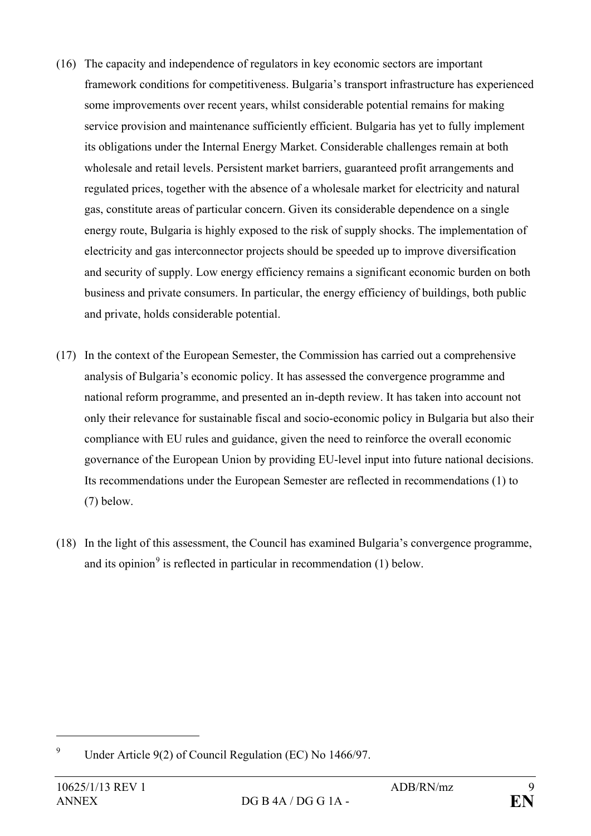- (16) The capacity and independence of regulators in key economic sectors are important framework conditions for competitiveness. Bulgaria's transport infrastructure has experienced some improvements over recent years, whilst considerable potential remains for making service provision and maintenance sufficiently efficient. Bulgaria has yet to fully implement its obligations under the Internal Energy Market. Considerable challenges remain at both wholesale and retail levels. Persistent market barriers, guaranteed profit arrangements and regulated prices, together with the absence of a wholesale market for electricity and natural gas, constitute areas of particular concern. Given its considerable dependence on a single energy route, Bulgaria is highly exposed to the risk of supply shocks. The implementation of electricity and gas interconnector projects should be speeded up to improve diversification and security of supply. Low energy efficiency remains a significant economic burden on both business and private consumers. In particular, the energy efficiency of buildings, both public and private, holds considerable potential.
- (17) In the context of the European Semester, the Commission has carried out a comprehensive analysis of Bulgaria's economic policy. It has assessed the convergence programme and national reform programme, and presented an in-depth review. It has taken into account not only their relevance for sustainable fiscal and socio-economic policy in Bulgaria but also their compliance with EU rules and guidance, given the need to reinforce the overall economic governance of the European Union by providing EU-level input into future national decisions. Its recommendations under the European Semester are reflected in recommendations (1) to (7) below.
- (18) In the light of this assessment, the Council has examined Bulgaria's convergence programme, and its opinion<sup>[9](#page-8-0)</sup> is reflected in particular in recommendation  $(1)$  below.

<span id="page-8-0"></span><sup>9</sup> Under Article 9(2) of Council Regulation (EC) No 1466/97.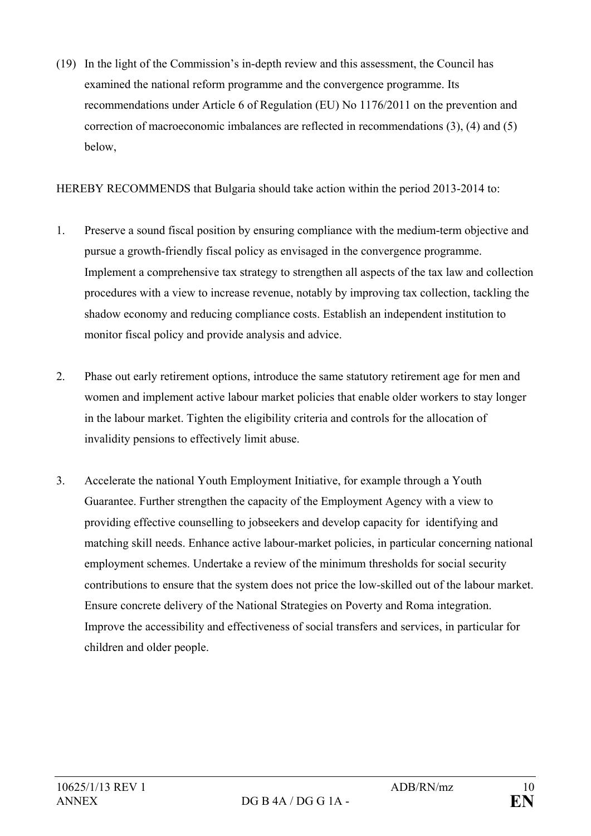(19) In the light of the Commission's in-depth review and this assessment, the Council has examined the national reform programme and the convergence programme. Its recommendations under Article 6 of Regulation (EU) No 1176/2011 on the prevention and correction of macroeconomic imbalances are reflected in recommendations (3), (4) and (5) below,

HEREBY RECOMMENDS that Bulgaria should take action within the period 2013-2014 to:

- 1. Preserve a sound fiscal position by ensuring compliance with the medium-term objective and pursue a growth-friendly fiscal policy as envisaged in the convergence programme. Implement a comprehensive tax strategy to strengthen all aspects of the tax law and collection procedures with a view to increase revenue, notably by improving tax collection, tackling the shadow economy and reducing compliance costs. Establish an independent institution to monitor fiscal policy and provide analysis and advice.
- 2. Phase out early retirement options, introduce the same statutory retirement age for men and women and implement active labour market policies that enable older workers to stay longer in the labour market. Tighten the eligibility criteria and controls for the allocation of invalidity pensions to effectively limit abuse.
- 3. Accelerate the national Youth Employment Initiative, for example through a Youth Guarantee. Further strengthen the capacity of the Employment Agency with a view to providing effective counselling to jobseekers and develop capacity for identifying and matching skill needs. Enhance active labour-market policies, in particular concerning national employment schemes. Undertake a review of the minimum thresholds for social security contributions to ensure that the system does not price the low-skilled out of the labour market. Ensure concrete delivery of the National Strategies on Poverty and Roma integration. Improve the accessibility and effectiveness of social transfers and services, in particular for children and older people.